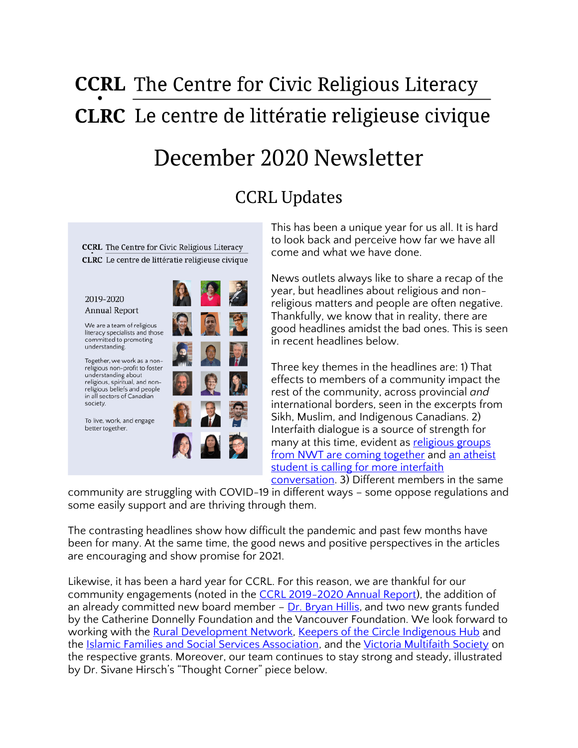# **CCRL** The Centre for Civic Religious Literacy **CLRC** Le centre de littératie religieuse civique

## December 2020 Newsletter

## CCRL Updates

**CCRL** The Centre for Civic Religious Literacy CLRC Le centre de littératie religieuse civique

#### 2019-2020 Annual Report

We are a team of religious literacy specialists and those<br>committed to promoting understanding.

Together, we work as a nonreligious non-profit to foster understanding about religious, spiritual, and nonreligious beliefs and people in all sectors of Canadian society.

To live, work, and engage better together.



This has been a unique year for us all. It is hard to look back and perceive how far we have all come and what we have done.

News outlets always like to share a recap of the year, but headlines about religious and nonreligious matters and people are often negative. Thankfully, we know that in reality, there are good headlines amidst the bad ones. This is seen in recent headlines below.

Three key themes in the headlines are: 1) That effects to members of a community impact the rest of the community, across provincial *and* international borders, seen in the excerpts from Sikh, Muslim, and Indigenous Canadians. 2) Interfaith dialogue is a source of strength for many at this time, evident as religious groups [from NWT are coming together](https://nnsl.com/nwtnewsnorth/religion-conferences-normally-held-in-hay-river-and-yellowknife-united-into-one-online-event/) and an atheist [student is calling for more interfaith](https://www.dailyprincetonian.com/article/2020/12/interfaith-dialogue-and-covid-19)  [conversation.](https://www.dailyprincetonian.com/article/2020/12/interfaith-dialogue-and-covid-19)  $3)$  Different members in the same

community are struggling with COVID-19 in different ways – some oppose regulations and some easily support and are thriving through them.

The contrasting headlines show how difficult the pandemic and past few months have been for many. At the same time, the good news and positive perspectives in the articles are encouraging and show promise for 2021.

Likewise, it has been a hard year for CCRL. For this reason, we are thankful for our community engagements (noted in the [CCRL 2019-2020 Annual Report\)](https://ccrl-clrc.ca/wp-content/uploads/2020/12/CCRL-2019-2020-Annual-Report.pdf), the addition of an already committed new board member  $-$  [Dr. Bryan Hillis,](https://ccrl-clrc.ca/about/board-and-advisors/) and two new grants funded by the Catherine Donnelly Foundation and the Vancouver Foundation. We look forward to working with the [Rural Development Network,](https://www.ruraldevelopment.ca/) [Keepers of the Circle Indigenous Hub](https://keepersofthecircle.com/) and the [Islamic Families and Social Services Association,](http://ifssa.ca/) and the [Victoria Multifaith Society](https://victoriamultifaith.com/) on the respective grants. Moreover, our team continues to stay strong and steady, illustrated by Dr. Sivane Hirsch's "Thought Corner" piece below.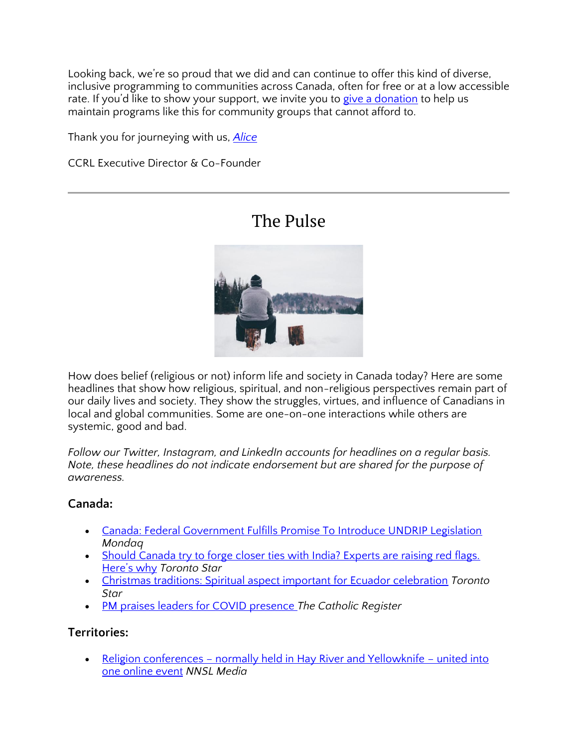Looking back, we're so proud that we did and can continue to offer this kind of diverse, inclusive programming to communities across Canada, often for free or at a low accessible rate. If you'd like to show your support, we invite you to [give a donation](https://ccrl-clrc.ca/support-us/) to help us maintain programs like this for community groups that cannot afford to.

Thank you for journeying with us, *[Alice](https://ccrl-clrc.ca/alice-chan/)*

CCRL Executive Director & Co-Founder

### The Pulse



How does belief (religious or not) inform life and society in Canada today? Here are some headlines that show how religious, spiritual, and non-religious perspectives remain part of our daily lives and society. They show the struggles, virtues, and influence of Canadians in local and global communities. Some are one-on-one interactions while others are systemic, good and bad.

*Follow our Twitter, Instagram, and LinkedIn accounts for headlines on a regular basis. Note, these headlines do not indicate endorsement but are shared for the purpose of awareness.* 

#### **Canada:**

- [Canada: Federal Government Fulfills Promise To Introduce UNDRIP Legislation](https://www.mondaq.com/canada/indigenous-peoples/1013842/federal-government-fulfills-promise-to-introduce-undrip-legislation) *Mondaq*
- Should Canada try to forge closer ties with India? Experts are raising red flags. [Here's why](https://www.thestar.com/news/canada/2020/12/04/should-canada-try-to-forge-closer-ties-with-india-experts-are-raising-red-flags-heres-why.html) *Toronto Star*
- [Christmas traditions: Spiritual aspect important for Ecuador celebration](https://www.thestar.com/news/canada/2020/12/08/christmas-traditions-spiritual-aspect-important-for-ecuador-celebration.html) *Toronto Star*
- [PM praises leaders for COVID presence](https://www.catholicregister.org/item/32473-pm-praises-leaders-for-covid-presence) *The Catholic Register*

#### **Territories:**

• Religion conferences – [normally held in Hay River and Yellowknife](https://nnsl.com/nwtnewsnorth/religion-conferences-normally-held-in-hay-river-and-yellowknife-united-into-one-online-event/) – united into [one online event](https://nnsl.com/nwtnewsnorth/religion-conferences-normally-held-in-hay-river-and-yellowknife-united-into-one-online-event/) *NNSL Media*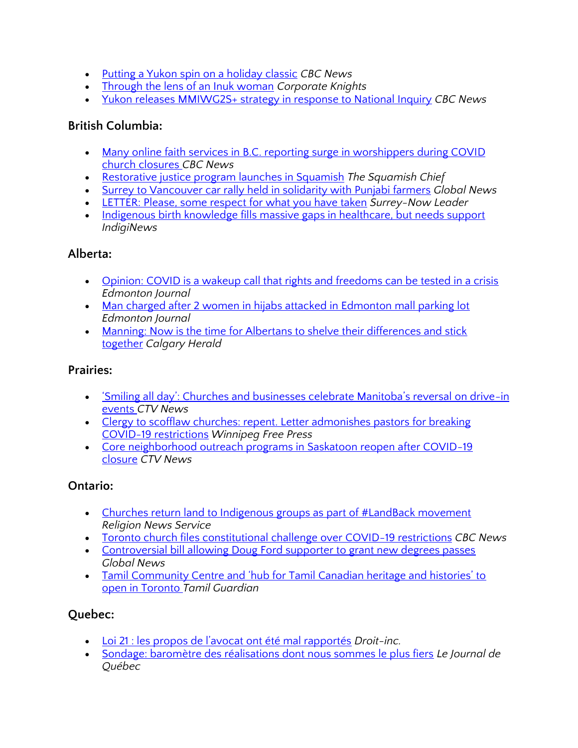- [Putting a Yukon spin on a holiday classic](https://www.cbc.ca/news/canada/north/airplay-yukon-indigenous-holiday-classic-1.5828946) *CBC News*
- [Through the lens of an Inuk woman](https://www.corporateknights.com/channels/climate-and-carbon/through-the-lens-of-an-inuk-woman-16074216/) *Corporate Knights*
- [Yukon releases MMIWG2S+ strategy in response to National Inquiry](https://www.cbc.ca/news/canada/north/yukon-mmiwg2s-strategy-national-inquiry-1.5835588) *CBC News*

#### **British Columbia:**

- Many online faith services in B.C. reporting surge in worshippers during COVID [church closures](https://www.cbc.ca/news/canada/british-columbia/many-online-faith-services-in-b-c-reporting-surge-in-worshippers-during-covid-church-closures-1.5826065) *CBC News*
- [Restorative justice program launches in Squamish](https://www.squamishchief.com/news/local-news/restorative-justice-program-launches-in-squamish-1.24245338) *The Squamish Chief*
- [Surrey to Vancouver car rally held in solidarity with Punjabi farmers](https://globalnews.ca/video/7498765/surrey-to-vancouver-car-rally-held-in-solidarity-with-punjabi-farmers) *Global News*
- [LETTER: Please, some respect for what you have taken](https://www.surreynowleader.com/opinion/letter-please-some-respect-for-what-you-have-taken/) *Surrey-Now Leader*
- Indigenous [birth knowledge fills massive gaps in healthcare, but needs support](https://indiginews.com/vancouver-island/indigenous-led-doula-training-fills-massive-gaps-in-healthcare) *IndigiNews*

#### **Alberta:**

- [Opinion: COVID is a wakeup call that rights and freedoms can be tested in a crisis](https://edmontonjournal.com/opinion/columnists/opinion-covid-is-a-wakeup-call-that-rights-and-freedoms-can-be-tested-in-a-crisis) *Edmonton Journal*
- [Man charged after 2 women in hijabs attacked in Edmonton mall parking lot](https://www.cbc.ca/news/canada/edmonton/edmonton-hate-crime-attack-southgate-1.5835187) *Edmonton Journal*
- [Manning: Now is the time for Albertans to shelve their differences and stick](https://calgaryherald.com/opinion/columnists/manning-now-is-the-time-for-albertans-to-shelve-their-differences-and-stick-together)  [together](https://calgaryherald.com/opinion/columnists/manning-now-is-the-time-for-albertans-to-shelve-their-differences-and-stick-together) *Calgary Herald*

#### **Prairies:**

- ['Smiling all day': Churches and businesses celebrate Manitoba's reversal on drive](https://winnipeg.ctvnews.ca/smiling-all-day-churches-and-businesses-celebrate-manitoba-s-reversal-on-drive-in-events-1.5222800)-in [events](https://winnipeg.ctvnews.ca/smiling-all-day-churches-and-businesses-celebrate-manitoba-s-reversal-on-drive-in-events-1.5222800) *CTV News*
- Clergy to scofflaw churches: repent. Letter admonishes pastors for breaking [COVID-19 restrictions](https://www.winnipegfreepress.com/arts-and-life/life/faith/clergy-to-scofflaw-churches-repent-573312431.html) *Winnipeg Free Press*
- Core neighborhood outreach programs in Saskatoon reopen after COVID-19 [closure](https://saskatoon.ctvnews.ca/core-neighborhood-outreach-programs-in-saskatoon-reopen-after-covid-19-closure-1.5220781) *CTV News*

#### **Ontario:**

- Churches return land to Indigenous groups as part of #LandBack movement *Religion News Service*
- [Toronto church files constitutional challenge over COVID-19 restrictions](https://www.cbc.ca/news/canada/toronto/covid-ont-church-1.5835451) *CBC News*
- [Controversial bill allowing Doug Ford supporter to grant new degrees passes](https://globalnews.ca/news/7507240/controversial-bill-allowing-ford-supporter-to-grant-degrees-passes/) *Global News*
- [Tamil Community Centre and 'hub for Tamil Canadian heritage and histories' to](https://www.tamilguardian.com/content/tamil-community-centre-and-hub-tamil-canadian-heritage-and-histories-open-toronto)  [open in Toronto](https://www.tamilguardian.com/content/tamil-community-centre-and-hub-tamil-canadian-heritage-and-histories-open-toronto) *Tamil Guardian*

### **Quebec:**

- [Loi 21 : les propos de l'avocat ont été mal rapportés](https://www.droit-inc.com/article27844-Loi-21-les-propos-de-l-avocat-ont-ete-mal-rapportes) *Droit-inc.*
- [Sondage: baromètre des réalisations dont nous sommes le plus fiers](https://www.journaldequebec.com/2020/12/07/sondage-barometre-des-realisations-dont-nous-sommes-le-plus-fiers) *Le Journal de Québec*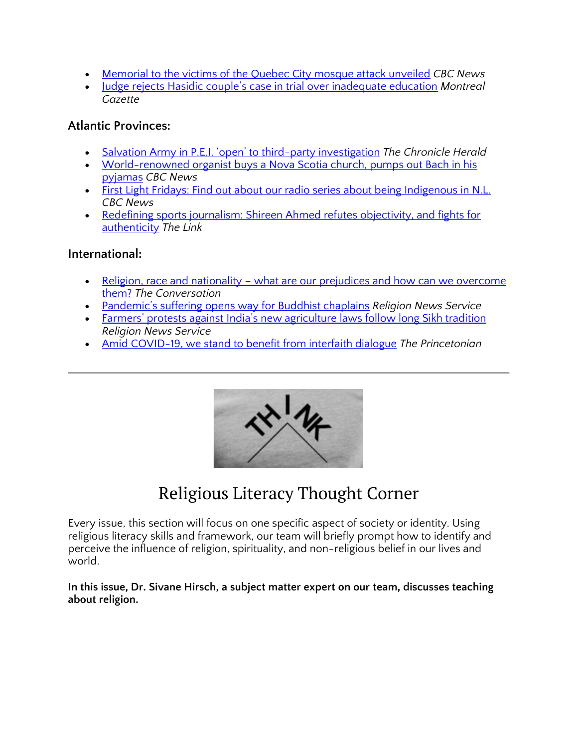- [Memorial to the victims of the Quebec City mosque attack unveiled](https://www.cbc.ca/news/canada/montreal/quebec-city-memorial-mosque-shooting-1.5824012) *CBC News*
- Judge rejects Hasidic couple['s case in trial over inadequate education](https://montrealgazette.com/news/local-news/judge-rejects-hasidic-couples-case-in-trial-over-inadequate-education/wcm/06aa9815-d158-4396-bb1a-18a2b593db01/amp/) *Montreal Gazette*

#### **Atlantic Provinces:**

- [Salvation Army in P.E.I. 'open' to third](https://www.thechronicleherald.ca/news/canada/salvation-army-in-pei-open-to-third-party-investigation-528357/)-party investigation *The Chronicle Herald*
- World-renowned organist buys a Nova Scotia church, pumps out Bach in his [pyjamas](https://www.cbc.ca/radio/asithappens/as-it-happens-tuesday-edition-1.5823831/world-renowned-organist-buys-a-nova-scotia-church-pumps-out-bach-in-his-pyjamas-1.5828645) *CBC News*
- [First Light Fridays: Find out about our radio series about being Indigenous in N.L.](https://www.cbc.ca/news/canada/newfoundland-labrador/first-listen-friday-1.5809624)  *CBC News*
- Redefining sports journalism: Shireen Ahmed refutes objectivity, and fights for [authenticity](https://thelinknewspaper.ca/article/redefining-sports-journalism) *The Link*

#### **International:**

- Religion, race and nationality what are our prejudices and how can we overcome [them?](https://theconversation.com/religion-race-and-nationality-what-are-our-prejudices-and-how-can-we-overcome-them-150306) *The Conversation*
- [Pandemic's suffering opens way for Buddhist chaplains](https://religionnews.com/2020/12/02/pandemics-suffering-opens-way-for-buddhist-chaplains/) *Religion News Service*
- [Farmers' protests against India's new agriculture laws follow long Sikh tradition](https://religionnews.com/2020/11/30/farmers-protests-against-indias-new-agriculture-laws-follow-long-sikh-tradition/) *Religion News Service*
- [Amid COVID-19, we stand to benefit from interfaith dialogue](https://www.dailyprincetonian.com/article/2020/12/interfaith-dialogue-and-covid-19) *The Princetonian*



## Religious Literacy Thought Corner

Every issue, this section will focus on one specific aspect of society or identity. Using religious literacy skills and framework, our team will briefly prompt how to identify and perceive the influence of religion, spirituality, and non-religious belief in our lives and world.

**In this issue, Dr. Sivane Hirsch, a subject matter expert on our team, discusses teaching about religion.**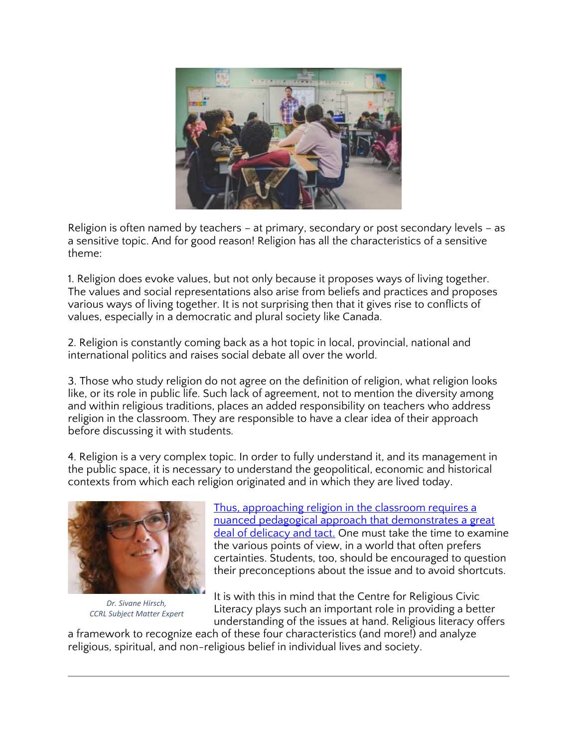

Religion is often named by teachers – at primary, secondary or post secondary levels – as a sensitive topic. And for good reason! Religion has all the characteristics of a sensitive theme:

1. Religion does evoke values, but not only because it proposes ways of living together. The values and social representations also arise from beliefs and practices and proposes various ways of living together. It is not surprising then that it gives rise to conflicts of values, especially in a democratic and plural society like Canada.

2. Religion is constantly coming back as a hot topic in local, provincial, national and international politics and raises social debate all over the world.

3. Those who study religion do not agree on the definition of religion, what religion looks like, or its role in public life. Such lack of agreement, not to mention the diversity among and within religious traditions, places an added responsibility on teachers who address religion in the classroom. They are responsible to have a clear idea of their approach before discussing it with students.

4. Religion is a very complex topic. In order to fully understand it, and its management in the public space, it is necessary to understand the geopolitical, economic and historical contexts from which each religion originated and in which they are lived today.



*Dr. Sivane Hirsch, CCRL Subject Matter Expert*

[Thus, approaching religion in the classroom requires a](https://researchfeatures.com/dealing-discriminatory-dogma-religious-education/)  [nuanced pedagogical approach that demonstrates a great](https://researchfeatures.com/dealing-discriminatory-dogma-religious-education/)  [deal of delicacy and tact.](https://researchfeatures.com/dealing-discriminatory-dogma-religious-education/) One must take the time to examine the various points of view, in a world that often prefers certainties. Students, too, should be encouraged to question their preconceptions about the issue and to avoid shortcuts.

It is with this in mind that the Centre for Religious Civic Literacy plays such an important role in providing a better understanding of the issues at hand. Religious literacy offers

a framework to recognize each of these four characteristics (and more!) and analyze religious, spiritual, and non-religious belief in individual lives and society.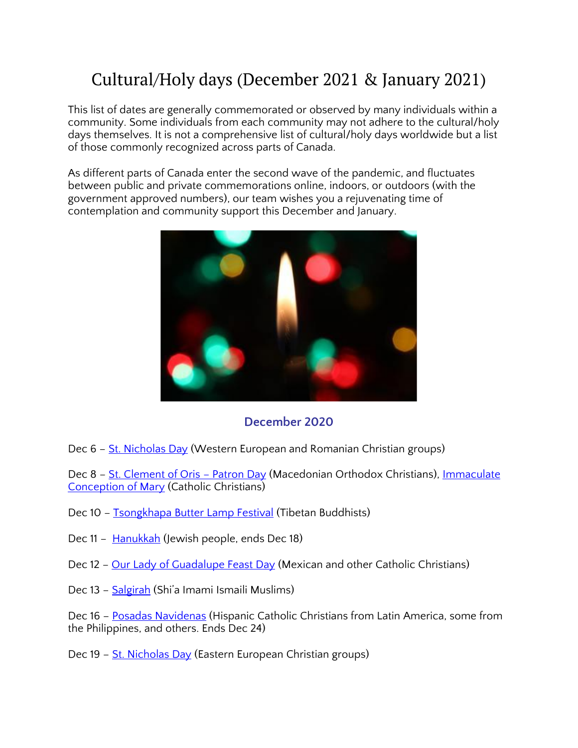## Cultural/Holy days (December 2021 & January 2021)

This list of dates are generally commemorated or observed by many individuals within a community. Some individuals from each community may not adhere to the cultural/holy days themselves. It is not a comprehensive list of cultural/holy days worldwide but a list of those commonly recognized across parts of Canada.

As different parts of Canada enter the second wave of the pandemic, and fluctuates between public and private commemorations online, indoors, or outdoors (with the government approved numbers), our team wishes you a rejuvenating time of contemplation and community support this December and January.



#### **December 2020**

Dec 6 – [St. Nicholas Day](https://www.britannica.com/topic/Saint-Nicholas-Day) (Western European and Romanian Christian groups)

Dec 8 - [St. Clement of Oris](https://anydayguide.com/calendar/2730) - Patron Day (Macedonian Orthodox Christians), Immaculate [Conception of Mary](https://www.timeanddate.com/holidays/canada/immaculate-conception) (Catholic Christians)

- Dec 10 [Tsongkhapa Butter Lamp Festival](https://www.tibettravel.org/tibetan-festivals/tsongkhapa-butter-lamp-festival.html) (Tibetan Buddhists)
- Dec 11 [Hanukkah](https://www.thecanadianencyclopedia.ca/en/article/chanukah) (Jewish people, ends Dec 18)
- Dec 12 [Our Lady of Guadalupe Feast Day](https://www.iexplore.com/experiences/festivals-events/dia-de-la-virgen-de-guadalupe-important-mexican-celebration) (Mexican and other Catholic Christians)
- Dec 13 [Salgirah](https://the.ismaili/salgirah) (Shi'a Imami Ismaili Muslims)

Dec 16 – [Posadas Navidenas](https://www.readthespirit.com/religious-holidays-festivals/tag/posadas-navidenas/) (Hispanic Catholic Christians from Latin America, some from the Philippines, and others. Ends Dec 24)

Dec 19 - [St. Nicholas Day](https://www.britannica.com/topic/Saint-Nicholas-Day) (Eastern European Christian groups)